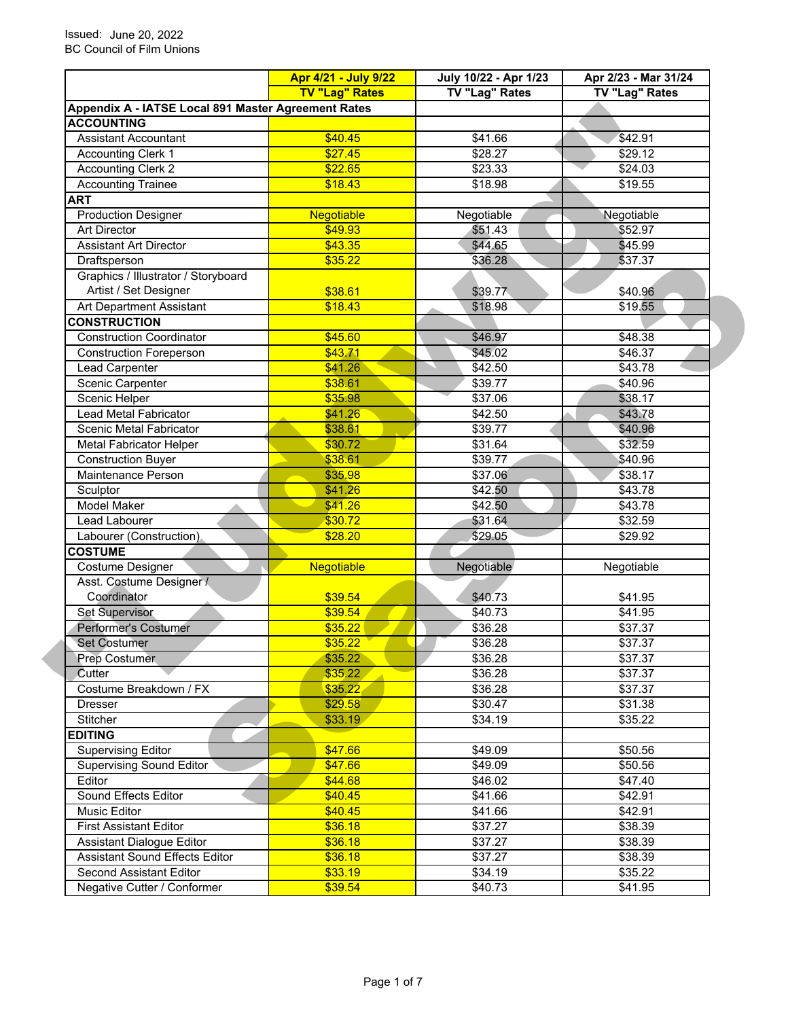|                                                     | <b>Apr 4/21 - July 9/22</b> | July 10/22 - Apr 1/23 | Apr 2/23 - Mar 31/24 |  |  |
|-----------------------------------------------------|-----------------------------|-----------------------|----------------------|--|--|
|                                                     | <b>TV "Lag" Rates</b>       | TV "Lag" Rates        | TV "Lag" Rates       |  |  |
| Appendix A - IATSE Local 891 Master Agreement Rates |                             |                       |                      |  |  |
| <b>ACCOUNTING</b>                                   |                             |                       |                      |  |  |
| <b>Assistant Accountant</b>                         | \$40.45                     | \$41.66               | \$42.91              |  |  |
| <b>Accounting Clerk 1</b>                           | \$27.45                     | \$28.27               | \$29.12              |  |  |
| <b>Accounting Clerk 2</b>                           | \$22.65                     | \$23.33               | \$24.03              |  |  |
| <b>Accounting Trainee</b>                           | \$18.43                     | \$18.98               | \$19.55              |  |  |
| <b>ART</b>                                          |                             |                       |                      |  |  |
| <b>Production Designer</b>                          | Negotiable                  | Negotiable            | Negotiable           |  |  |
| <b>Art Director</b>                                 | \$49.93                     | \$51.43               | \$52.97              |  |  |
| <b>Assistant Art Director</b>                       | \$43.35                     | \$44.65               | \$45.99              |  |  |
| Draftsperson                                        | \$35.22                     | \$36.28               | \$37.37              |  |  |
| Graphics / Illustrator / Storyboard                 |                             |                       |                      |  |  |
| Artist / Set Designer                               | \$38.61                     | \$39.77               | \$40.96              |  |  |
| Art Department Assistant                            | \$18.43                     | \$18.98               | \$19.55              |  |  |
| <b>CONSTRUCTION</b>                                 |                             |                       |                      |  |  |
| <b>Construction Coordinator</b>                     | \$45.60                     | \$46.97               | \$48.38              |  |  |
| <b>Construction Foreperson</b>                      | \$43.71                     | \$45.02               | \$46.37              |  |  |
| Lead Carpenter                                      | \$41.26                     | \$42.50               | \$43.78              |  |  |
| Scenic Carpenter                                    | \$38.61                     | \$39.77               | \$40.96              |  |  |
| Scenic Helper                                       | \$35.98                     | \$37.06               | \$38.17              |  |  |
| Lead Metal Fabricator                               | \$41.26                     | \$42.50               | \$43.78              |  |  |
| Scenic Metal Fabricator                             | \$38.61                     | \$39.77               | \$40.96              |  |  |
| <b>Metal Fabricator Helper</b>                      | \$30.72                     | \$31.64               | \$32.59              |  |  |
| <b>Construction Buyer</b>                           | \$38.61                     | \$39.77               | \$40.96              |  |  |
| Maintenance Person                                  | \$35.98                     | \$37.06               | \$38.17              |  |  |
| Sculptor                                            | \$41.26                     | \$42.50               | \$43.78              |  |  |
| <b>Model Maker</b>                                  | \$41.26                     | \$42.50               | \$43.78              |  |  |
| Lead Labourer                                       | \$30.72                     | \$31.64               |                      |  |  |
| Labourer (Construction)                             | \$28.20                     | \$29.05               | \$32.59<br>\$29.92   |  |  |
| <b>COSTUME</b>                                      |                             |                       |                      |  |  |
| Costume Designer                                    | <b>Negotiable</b>           | Negotiable            | Negotiable           |  |  |
| Asst. Costume Designer /                            |                             |                       |                      |  |  |
| Coordinator                                         | \$39.54                     | \$40.73               |                      |  |  |
| <b>Set Supervisor</b>                               | \$39.54                     | \$40.73               | \$41.95              |  |  |
| Performer's Costumer                                | \$35.22                     |                       | \$41.95              |  |  |
| Set Costumer                                        | \$35.22                     | \$36.28               | \$37.37              |  |  |
|                                                     |                             | \$36.28               | \$37.37              |  |  |
| <b>Prep Costumer</b>                                | \$35.22                     | \$36.28               | \$37.37              |  |  |
| Cutter                                              | \$35.22                     | \$36.28               | \$37.37              |  |  |
| Costume Breakdown / FX                              | \$35.22                     | \$36.28               | \$37.37              |  |  |
| <b>Dresser</b>                                      | \$29.58                     | \$30.47               | \$31.38              |  |  |
| Stitcher                                            | \$33.19                     | \$34.19               | \$35.22              |  |  |
| <b>EDITING</b>                                      |                             |                       |                      |  |  |
| <b>Supervising Editor</b>                           | \$47.66                     | \$49.09               | \$50.56              |  |  |
| <b>Supervising Sound Editor</b>                     | \$47.66                     | \$49.09               | \$50.56              |  |  |
| Editor                                              | \$44.68                     | \$46.02               | \$47.40              |  |  |
| <b>Sound Effects Editor</b>                         | \$40.45                     | \$41.66               | \$42.91              |  |  |
| Music Editor                                        | \$40.45                     | \$41.66               | \$42.91              |  |  |
| <b>First Assistant Editor</b>                       | \$36.18                     | \$37.27               | \$38.39              |  |  |
| Assistant Dialogue Editor                           | \$36.18                     | \$37.27               | \$38.39              |  |  |
| <b>Assistant Sound Effects Editor</b>               | \$36.18                     | \$37.27               | \$38.39              |  |  |
| Second Assistant Editor                             | \$33.19                     | \$34.19               | \$35.22              |  |  |
| Negative Cutter / Conformer                         | \$39.54                     | \$40.73               | \$41.95              |  |  |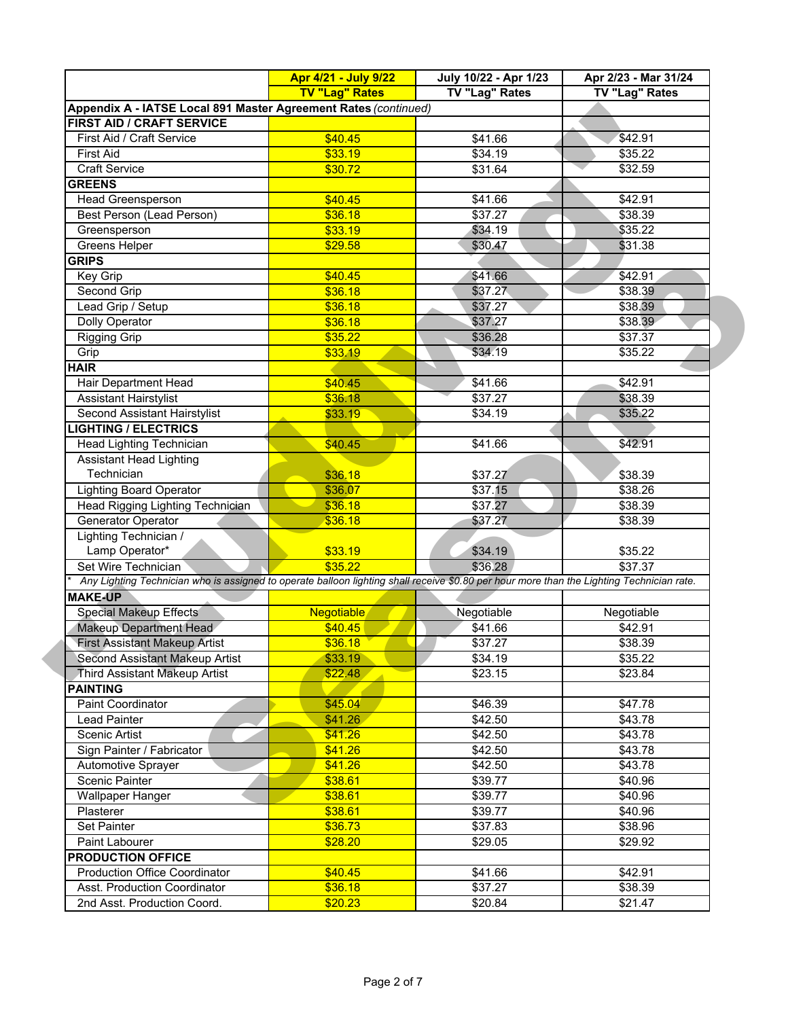|                                                                                                                                           | Apr 4/21 - July 9/22  | July 10/22 - Apr 1/23 | Apr 2/23 - Mar 31/24 |
|-------------------------------------------------------------------------------------------------------------------------------------------|-----------------------|-----------------------|----------------------|
|                                                                                                                                           | <b>TV "Lag" Rates</b> | TV "Lag" Rates        | TV "Lag" Rates       |
| Appendix A - IATSE Local 891 Master Agreement Rates (continued)                                                                           |                       |                       |                      |
| FIRST AID / CRAFT SERVICE                                                                                                                 |                       |                       |                      |
| First Aid / Craft Service                                                                                                                 | \$40.45               | \$41.66               | \$42.91              |
| <b>First Aid</b>                                                                                                                          | \$33.19               | \$34.19               | \$35.22              |
| <b>Craft Service</b>                                                                                                                      | \$30.72               | \$31.64               | \$32.59              |
| <b>GREENS</b>                                                                                                                             |                       |                       |                      |
| <b>Head Greensperson</b>                                                                                                                  | \$40.45               | \$41.66               | \$42.91              |
| Best Person (Lead Person)                                                                                                                 | \$36.18               | \$37.27               | \$38.39              |
| Greensperson                                                                                                                              | \$33.19               | \$34.19               | \$35.22              |
| Greens Helper                                                                                                                             | \$29.58               | \$30.47               | \$31.38              |
| <b>GRIPS</b>                                                                                                                              |                       |                       |                      |
| Key Grip                                                                                                                                  | \$40.45               | \$41.66               | \$42.91              |
| Second Grip                                                                                                                               | \$36.18               | \$37.27               | \$38.39              |
| Lead Grip / Setup                                                                                                                         | \$36.18               | \$37.27               | \$38.39              |
| Dolly Operator                                                                                                                            | \$36.18               | \$37.27               | \$38.39              |
| <b>Rigging Grip</b>                                                                                                                       | \$35.22               | \$36.28               | \$37.37              |
| Grip                                                                                                                                      | \$33.19               | \$34.19               | \$35.22              |
| <b>HAIR</b>                                                                                                                               |                       |                       |                      |
| Hair Department Head                                                                                                                      | \$40.45               | \$41.66               | \$42.91              |
| <b>Assistant Hairstylist</b>                                                                                                              | \$36.18               | \$37.27               | \$38.39              |
| Second Assistant Hairstylist                                                                                                              | \$33.19               | \$34.19               | \$35.22              |
| <b>LIGHTING / ELECTRICS</b>                                                                                                               |                       |                       |                      |
| <b>Head Lighting Technician</b>                                                                                                           | \$40.45               | \$41.66               | \$42.91              |
| <b>Assistant Head Lighting</b>                                                                                                            |                       |                       |                      |
| Technician                                                                                                                                | \$36.18               | \$37.27               | \$38.39              |
| <b>Lighting Board Operator</b>                                                                                                            | \$36.07               | \$37.15               | \$38.26              |
| Head Rigging Lighting Technician                                                                                                          | \$36.18               | \$37.27               | \$38.39              |
| Generator Operator                                                                                                                        | \$36.18               | \$37.27               | \$38.39              |
| Lighting Technician /                                                                                                                     |                       |                       |                      |
| Lamp Operator*                                                                                                                            | \$33.19               | \$34.19               | \$35.22              |
| Set Wire Technician                                                                                                                       | \$35.22               | \$36.28               | \$37.37              |
| Any Lighting Technician who is assigned to operate balloon lighting shall receive \$0.80 per hour more than the Lighting Technician rate. |                       |                       |                      |
| <b>MAKE-UP</b>                                                                                                                            |                       |                       |                      |
| <b>Special Makeup Effects</b>                                                                                                             | <b>Negotiable</b>     | Negotiable            | Negotiable           |
| <b>Makeup Department Head</b>                                                                                                             | \$40.45               | \$41.66               | \$42.91              |
| <b>First Assistant Makeup Artist</b>                                                                                                      | \$36.18               | \$37.27               | \$38.39              |
| Second Assistant Makeup Artist                                                                                                            | \$33.19               | \$34.19               | \$35.22              |
| <b>Third Assistant Makeup Artist</b>                                                                                                      | \$22.48               | \$23.15               | \$23.84              |
| <b>PAINTING</b>                                                                                                                           |                       |                       |                      |
| Paint Coordinator                                                                                                                         | \$45.04               | \$46.39               | \$47.78              |
| Lead Painter                                                                                                                              | \$41.26               | \$42.50               | \$43.78              |
| Scenic Artist                                                                                                                             | \$41.26               | \$42.50               | \$43.78              |
| Sign Painter / Fabricator                                                                                                                 | \$41.26               | \$42.50               | \$43.78              |
| Automotive Sprayer                                                                                                                        | \$41.26               | \$42.50               | \$43.78              |
| Scenic Painter                                                                                                                            | \$38.61               | \$39.77               | \$40.96              |
| <b>Wallpaper Hanger</b>                                                                                                                   | \$38.61               | \$39.77               | \$40.96              |
| Plasterer                                                                                                                                 | \$38.61               | \$39.77               | \$40.96              |
| Set Painter                                                                                                                               | \$36.73               | \$37.83               | \$38.96              |
| Paint Labourer                                                                                                                            | \$28.20               | \$29.05               | \$29.92              |
| <b>PRODUCTION OFFICE</b>                                                                                                                  |                       |                       |                      |
| <b>Production Office Coordinator</b>                                                                                                      | \$40.45               | \$41.66               | \$42.91              |
| Asst. Production Coordinator                                                                                                              | \$36.18               | \$37.27               | \$38.39              |
| 2nd Asst. Production Coord.                                                                                                               | \$20.23               | \$20.84               | \$21.47              |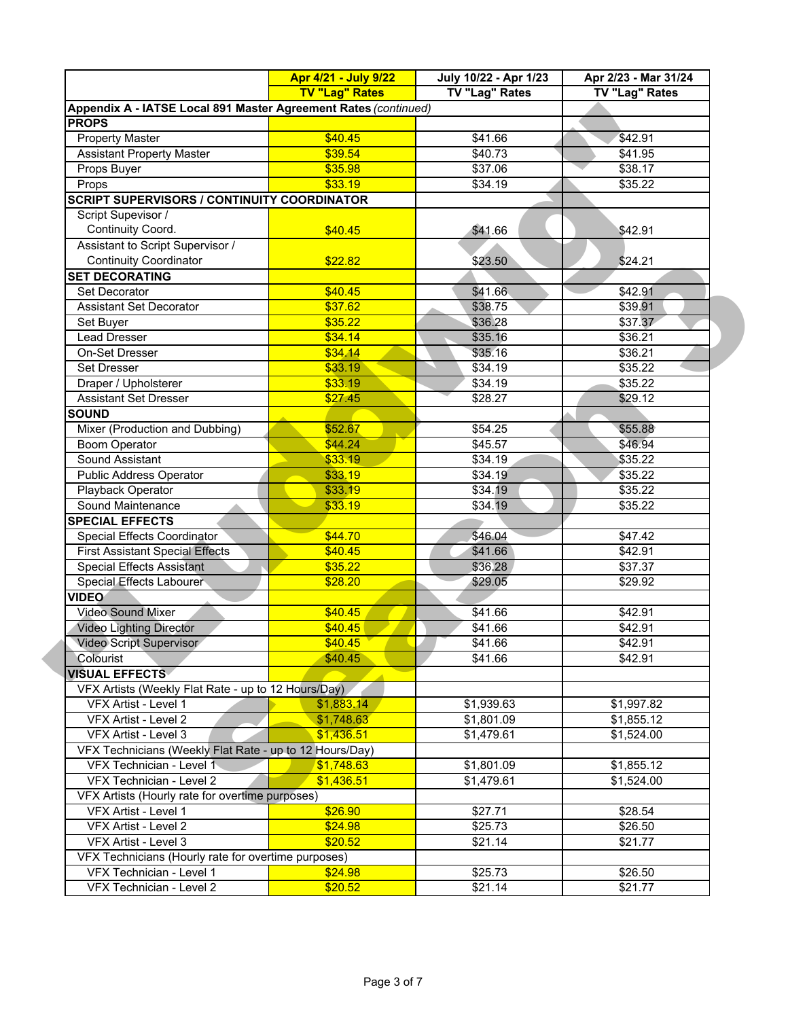|                                                                 | Apr 4/21 - July 9/22  | July 10/22 - Apr 1/23 | Apr 2/23 - Mar 31/24 |
|-----------------------------------------------------------------|-----------------------|-----------------------|----------------------|
|                                                                 | <b>TV "Lag" Rates</b> | <b>TV "Lag" Rates</b> | TV "Lag" Rates       |
| Appendix A - IATSE Local 891 Master Agreement Rates (continued) |                       |                       |                      |
| <b>PROPS</b>                                                    |                       |                       |                      |
| Property Master                                                 | \$40.45               | \$41.66               | \$42.91              |
| <b>Assistant Property Master</b>                                | \$39.54               | \$40.73               | \$41.95              |
| Props Buyer                                                     | \$35.98               | \$37.06               | \$38.17              |
| Props                                                           | \$33.19               | \$34.19               | \$35.22              |
| <b>SCRIPT SUPERVISORS / CONTINUITY COORDINATOR</b>              |                       |                       |                      |
| Script Supevisor /                                              |                       |                       |                      |
| Continuity Coord.                                               | \$40.45               | \$41.66               | \$42.91              |
| Assistant to Script Supervisor /                                |                       |                       |                      |
| <b>Continuity Coordinator</b>                                   | \$22.82               | \$23.50               | \$24.21              |
| <b>SET DECORATING</b>                                           |                       |                       |                      |
| Set Decorator                                                   | \$40.45               | \$41.66               | \$42.91              |
| <b>Assistant Set Decorator</b>                                  | \$37.62               | \$38.75               | \$39.91              |
| Set Buyer                                                       | \$35.22               | \$36.28               | \$37.37              |
| Lead Dresser                                                    | \$34.14               | \$35.16               | \$36.21              |
| On-Set Dresser                                                  | \$34.14               | \$35.16               | \$36.21              |
| <b>Set Dresser</b>                                              | \$33.19               | \$34.19               | \$35.22              |
| Draper / Upholsterer                                            | \$33.19               | \$34.19               | \$35.22              |
| <b>Assistant Set Dresser</b>                                    | \$27.45               | \$28.27               | \$29.12              |
| <b>SOUND</b>                                                    |                       |                       |                      |
| Mixer (Production and Dubbing)                                  | \$52.67               | \$54.25               | \$55.88              |
| <b>Boom Operator</b>                                            | \$44.24               | \$45.57               | \$46.94              |
| Sound Assistant                                                 | \$33.19               | \$34.19               | \$35.22              |
| Public Address Operator                                         | \$33.19               | \$34.19               | \$35.22              |
| Playback Operator                                               | \$33.19               | \$34.19               | \$35.22              |
| Sound Maintenance                                               | \$33.19               | \$34.19               | \$35.22              |
| <b>SPECIAL EFFECTS</b>                                          |                       |                       |                      |
| Special Effects Coordinator                                     | \$44.70               | \$46.04               | \$47.42              |
| <b>First Assistant Special Effects</b>                          | \$40.45               | \$41.66               | \$42.91              |
| <b>Special Effects Assistant</b>                                | \$35.22               | \$36.28               | \$37.37              |
| Special Effects Labourer                                        | \$28.20               | \$29.05               | \$29.92              |
| <b>VIDEO</b>                                                    |                       |                       |                      |
| <b>Video Sound Mixer</b>                                        | \$40.45               | \$41.66               | \$42.91              |
| <b>Video Lighting Director</b>                                  | \$40.45               | \$41.66               | \$42.91              |
| <b>Video Script Supervisor</b>                                  | \$40.45               | \$41.66               | \$42.91              |
| Colourist                                                       | \$40.45               | \$41.66               | \$42.91              |
| VISUAL EFFECTS <i>√</i>                                         |                       |                       |                      |
| VFX Artists (Weekly Flat Rate - up to 12 Hours/Day)             |                       |                       |                      |
| VFX Artist - Level 1                                            | \$1,883.14            | \$1,939.63            | \$1,997.82           |
| VFX Artist - Level 2                                            | \$1,748.63            | \$1,801.09            | \$1,855.12           |
| VFX Artist - Level 3                                            | \$1,436.51            | \$1,479.61            | \$1,524.00           |
| VFX Technicians (Weekly Flat Rate - up to 12 Hours/Day)         |                       |                       |                      |
| VFX Technician - Level 1                                        | \$1,748.63            | \$1,801.09            | \$1,855.12           |
| VFX Technician - Level 2                                        | \$1,436.51            | \$1,479.61            | \$1,524.00           |
| VFX Artists (Hourly rate for overtime purposes)                 |                       |                       |                      |
| VFX Artist - Level 1                                            | \$26.90               | \$27.71               | \$28.54              |
| VFX Artist - Level 2                                            | \$24.98               | \$25.73               | \$26.50              |
| VFX Artist - Level 3                                            | \$20.52               | \$21.14               | \$21.77              |
| VFX Technicians (Hourly rate for overtime purposes)             |                       |                       |                      |
| VFX Technician - Level 1                                        | \$24.98               | \$25.73               | \$26.50              |
| VFX Technician - Level 2                                        | \$20.52               | \$21.14               | \$21.77              |